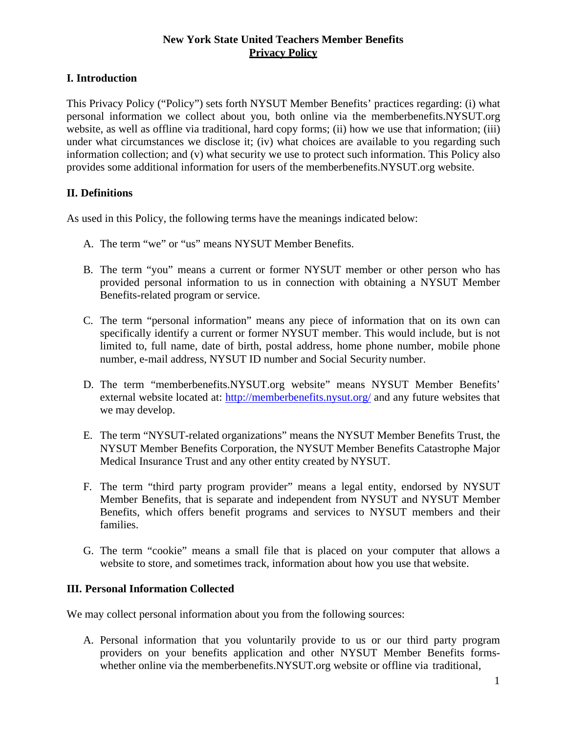## **New York State United Teachers Member Benefits Privacy Policy**

# **I. Introduction**

This Privacy Policy ("Policy") sets forth NYSUT Member Benefits' practices regarding: (i) what personal information we collect about you, both online via the memberbenefits.NYSUT.org website, as well as offline via traditional, hard copy forms; (ii) how we use that information; (iii) under what circumstances we disclose it; (iv) what choices are available to you regarding such information collection; and (v) what security we use to protect such information. This Policy also provides some additional information for users of the memberbenefits.NYSUT.org website.

## **II. Definitions**

As used in this Policy, the following terms have the meanings indicated below:

- A. The term "we" or "us" means NYSUT Member Benefits.
- B. The term "you" means a current or former NYSUT member or other person who has provided personal information to us in connection with obtaining a NYSUT Member Benefits-related program or service.
- C. The term "personal information" means any piece of information that on its own can specifically identify a current or former NYSUT member. This would include, but is not limited to, full name, date of birth, postal address, home phone number, mobile phone number, e-mail address, NYSUT ID number and Social Security number.
- D. The term "memberbenefits.NYSUT.org website" means NYSUT Member Benefits' external website located at: <http://memberbenefits.nysut.org/> and any future websites that we may develop.
- E. The term "NYSUT-related organizations" means the NYSUT Member Benefits Trust, the NYSUT Member Benefits Corporation, the NYSUT Member Benefits Catastrophe Major Medical Insurance Trust and any other entity created by NYSUT.
- F. The term "third party program provider" means a legal entity, endorsed by NYSUT Member Benefits, that is separate and independent from NYSUT and NYSUT Member Benefits, which offers benefit programs and services to NYSUT members and their families.
- G. The term "cookie" means a small file that is placed on your computer that allows a website to store, and sometimes track, information about how you use that website.

## **III. Personal Information Collected**

We may collect personal information about you from the following sources:

A. Personal information that you voluntarily provide to us or our third party program providers on your benefits application and other NYSUT Member Benefits formswhether online via the memberbenefits.NYSUT.org website or offline via traditional,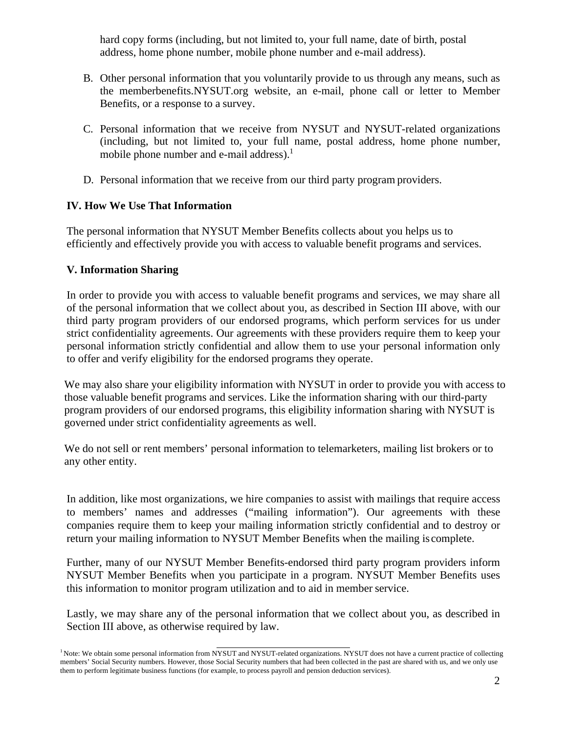hard copy forms (including, but not limited to, your full name, date of birth, postal address, home phone number, mobile phone number and e-mail address).

- B. Other personal information that you voluntarily provide to us through any means, such as the memberbenefits.NYSUT.org website, an e-mail, phone call or letter to Member Benefits, or a response to a survey.
- C. Personal information that we receive from NYSUT and NYSUT-related organizations (including, but not limited to, your full name, postal address, home phone number, mobile phone number and e-mail address[\).](#page-1-0)<sup>1</sup>
- D. Personal information that we receive from our third party program providers.

## **IV. How We Use That Information**

The personal information that NYSUT Member Benefits collects about you helps us to efficiently and effectively provide you with access to valuable benefit programs and services.

## **V. Information Sharing**

In order to provide you with access to valuable benefit programs and services, we may share all of the personal information that we collect about you, as described in Section III above, with our third party program providers of our endorsed programs, which perform services for us under strict confidentiality agreements. Our agreements with these providers require them to keep your personal information strictly confidential and allow them to use your personal information only to offer and verify eligibility for the endorsed programs they operate.

We may also share your eligibility information with NYSUT in order to provide you with access to those valuable benefit programs and services. Like the information sharing with our third-party program providers of our endorsed programs, this eligibility information sharing with NYSUT is governed under strict confidentiality agreements as well.

We do not sell or rent members' personal information to telemarketers, mailing list brokers or to any other entity.

return your mailing information to NYSUT Member Benefits when the mailing is complete. In addition, like most organizations, we hire companies to assist with mailings that require access to members' names and addresses ("mailing information"). Our agreements with these companies require them to keep your mailing information strictly confidential and to destroy or

Further, many of our NYSUT Member Benefits-endorsed third party program providers inform NYSUT Member Benefits when you participate in a program. NYSUT Member Benefits uses this information to monitor program utilization and to aid in member service.

Lastly, we may share any of the personal information that we collect about you, as described in Section III above, as otherwise required by law.

<span id="page-1-0"></span><sup>&</sup>lt;sup>1</sup> Note: We obtain some personal information from NYSUT and NYSUT-related organizations. NYSUT does not have a current practice of collecting members' Social Security numbers. However, those Social Security numbers that had been collected in the past are shared with us, and we only use them to perform legitimate business functions (for example, to process payroll and pension deduction services).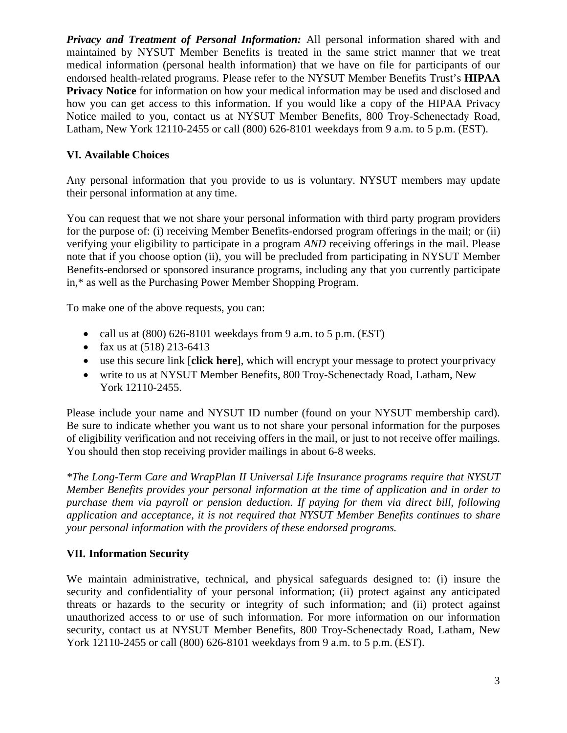*Privacy and Treatment of Personal Information:* All personal information shared with and maintained by NYSUT Member Benefits is treated in the same strict manner that we treat medical information (personal health information) that we have on file for participants of our endorsed health-related programs. Please refer to the NYSUT Member Benefits Trust's **[HIPAA](http://memberbenefits.nysut.org/%7E/media/Files/MB%20NYSUT/pdfs/npp_fullpg_healthplan_1%203-2014.pdf) [Privacy Notice](http://memberbenefits.nysut.org/%7E/media/Files/MB%20NYSUT/pdfs/npp_fullpg_healthplan_1%203-2014.pdf)** for information on how your medical information may be used and disclosed and how you can get access to this information. If you would like a copy of the HIPAA Privacy Notice mailed to you, contact us at NYSUT Member Benefits, 800 Troy-Schenectady Road, Latham, New York 12110-2455 or call (800) 626-8101 weekdays from 9 a.m. to 5 p.m. (EST).

# **VI. Available Choices**

Any personal information that you provide to us is voluntary. NYSUT members may update their personal information at any time.

You can request that we not share your personal information with third party program providers for the purpose of: (i) receiving Member Benefits-endorsed program offerings in the mail; or (ii) verifying your eligibility to participate in a program *AND* receiving offerings in the mail. Please note that if you choose option (ii), you will be precluded from participating in NYSUT Member Benefits-endorsed or sponsored insurance programs, including any that you currently participate in,\* as well as the Purchasing Power Member Shopping Program.

To make one of the above requests, you can:

- call us at  $(800)$  626-8101 weekdays from 9 a.m. to 5 p.m. (EST)
- fax us at  $(518)$  213-6413
- use this secure link [**[click here](https://memberbenefits.nysut.org/about/contact-information/secure-message)**], which will encrypt your message to protect yourprivacy
- write to us at NYSUT Member Benefits, 800 Troy-Schenectady Road, Latham, New York 12110-2455.

Please include your name and NYSUT ID number (found on your NYSUT membership card). Be sure to indicate whether you want us to not share your personal information for the purposes of eligibility verification and not receiving offers in the mail, or just to not receive offer mailings. You should then stop receiving provider mailings in about 6-8 weeks.

*\*The Long-Term Care and WrapPlan II Universal Life Insurance programs require that NYSUT Member Benefits provides your personal information at the time of application and in order to purchase them via payroll or pension deduction. If paying for them via direct bill, following application and acceptance, it is not required that NYSUT Member Benefits continues to share your personal information with the providers of these endorsed programs.*

## **VII. Information Security**

We maintain administrative, technical, and physical safeguards designed to: (i) insure the security and confidentiality of your personal information; (ii) protect against any anticipated threats or hazards to the security or integrity of such information; and (ii) protect against unauthorized access to or use of such information. For more information on our information security, contact us at NYSUT Member Benefits, 800 Troy-Schenectady Road, Latham, New York 12110-2455 or call (800) 626-8101 weekdays from 9 a.m. to 5 p.m. (EST).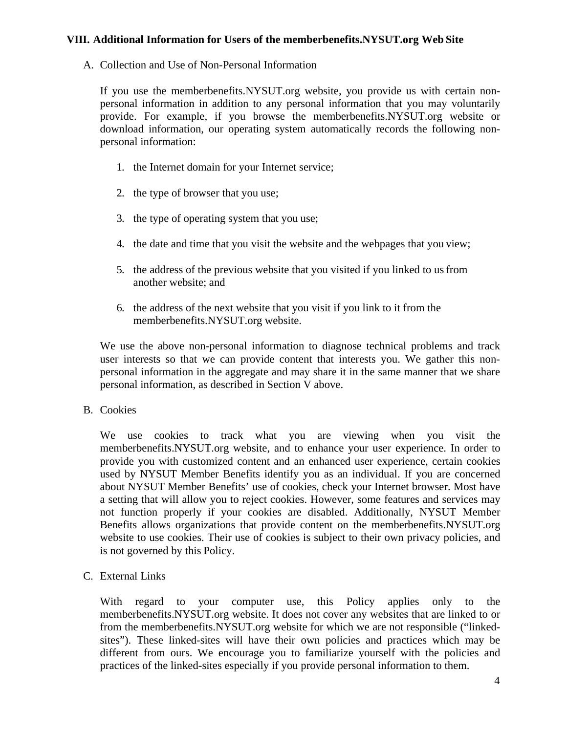#### **VIII. Additional Information for Users of the memberbenefits.NYSUT.org Web Site**

A. Collection and Use of Non-Personal Information

If you use the memberbenefits.NYSUT.org website, you provide us with certain nonpersonal information in addition to any personal information that you may voluntarily provide. For example, if you browse the memberbenefits.NYSUT.org website or download information, our operating system automatically records the following nonpersonal information:

- 1. the Internet domain for your Internet service;
- 2. the type of browser that you use;
- 3. the type of operating system that you use;
- 4. the date and time that you visit the website and the webpages that you view;
- 5. the address of the previous website that you visited if you linked to usfrom another website; and
- 6. the address of the next website that you visit if you link to it from the memberbenefits.NYSUT.org website.

We use the above non-personal information to diagnose technical problems and track user interests so that we can provide content that interests you. We gather this nonpersonal information in the aggregate and may share it in the same manner that we share personal information, as described in Section V above.

#### B. Cookies

We use cookies to track what you are viewing when you visit the memberbenefits.NYSUT.org website, and to enhance your user experience. In order to provide you with customized content and an enhanced user experience, certain cookies used by NYSUT Member Benefits identify you as an individual. If you are concerned about NYSUT Member Benefits' use of cookies, check your Internet browser. Most have a setting that will allow you to reject cookies. However, some features and services may not function properly if your cookies are disabled. Additionally, NYSUT Member Benefits allows organizations that provide content on the memberbenefits.NYSUT.org website to use cookies. Their use of cookies is subject to their own privacy policies, and is not governed by this Policy.

C. External Links

With regard to your computer use, this Policy applies only to the memberbenefits.NYSUT.org website. It does not cover any websites that are linked to or from the memberbenefits.NYSUT.org website for which we are not responsible ("linkedsites"). These linked-sites will have their own policies and practices which may be different from ours. We encourage you to familiarize yourself with the policies and practices of the linked-sites especially if you provide personal information to them.